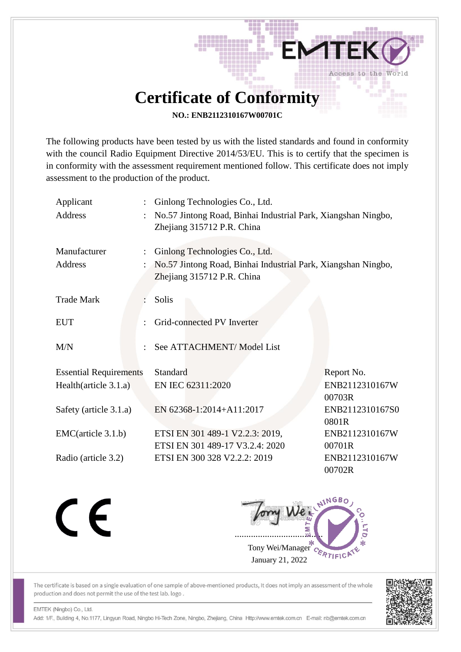## **Certificate of Conformity**

발패

Access to the World

**NO.: ENB2112310167W00701C**

The following products have been tested by us with the listed standards and found in conformity with the council Radio Equipment Directive 2014/53/EU. This is to certify that the specimen is in conformity with the assessment requirement mentioned follow. This certificate does not imply assessment to the production of the product.

| Applicant<br>Address          | ÷. | Ginlong Technologies Co., Ltd.<br>No.57 Jintong Road, Binhai Industrial Park, Xiangshan Ningbo,<br>Zhejiang 315712 P.R. China |                          |  |
|-------------------------------|----|-------------------------------------------------------------------------------------------------------------------------------|--------------------------|--|
| Manufacturer<br>Address       | ÷  | Ginlong Technologies Co., Ltd.<br>No.57 Jintong Road, Binhai Industrial Park, Xiangshan Ningbo,<br>Zhejiang 315712 P.R. China |                          |  |
| <b>Trade Mark</b>             |    | Solis                                                                                                                         |                          |  |
| <b>EUT</b>                    |    | Grid-connected PV Inverter                                                                                                    |                          |  |
| M/N                           |    | See ATTACHMENT/ Model List                                                                                                    |                          |  |
| <b>Essential Requirements</b> |    | Standard                                                                                                                      | Report No.               |  |
| Health $(\ar{circle } 3.1.a)$ |    | EN IEC 62311:2020                                                                                                             | ENB2112310167W<br>00703R |  |
| Safety (article 3.1.a)        |    | EN 62368-1:2014+A11:2017                                                                                                      | ENB2112310167S0<br>0801R |  |
| EMC(article 3.1.b)            |    | ETSI EN 301 489-1 V2.2.3: 2019,                                                                                               | ENB2112310167W           |  |
|                               |    | ETSI EN 301 489-17 V3.2.4: 2020                                                                                               | 00701R                   |  |
| Radio (article 3.2)           |    | ETSI EN 300 328 V2.2.2: 2019                                                                                                  | ENB2112310167W<br>00702R |  |

CE

Jony Wei ...................................... Tony Wei/Manager January 21, 2022

The certificate is based on a single evaluation of one sample of above-mentioned products, It does not imply an assessment of the whole production and does not permit the use of the test lab. logo.



EMTEK (Ningbo) Co., Ltd.

Add: 1/F., Building 4, No.1177, Lingyun Road, Ningbo Hi-Tech Zone, Ningbo, Zhejiang, China Http://www.emtek.com.cn E-mail: nb@emtek.com.cn